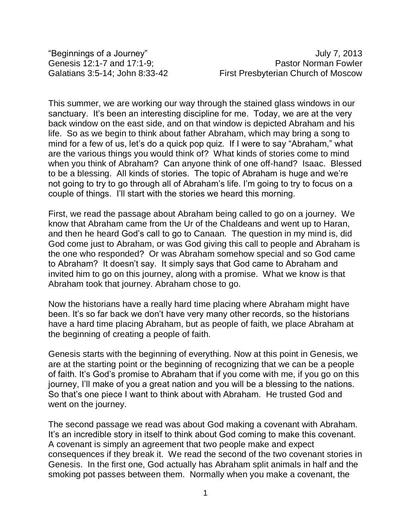"Beginnings of a Journey" The Contract of August 2013 Genesis 12:1-7 and 17:1-9: Christian Muslim Pastor Norman Fowler Galatians 3:5-14; John 8:33-42 First Presbyterian Church of Moscow

This summer, we are working our way through the stained glass windows in our sanctuary. It's been an interesting discipline for me. Today, we are at the very back window on the east side, and on that window is depicted Abraham and his life. So as we begin to think about father Abraham, which may bring a song to mind for a few of us, let's do a quick pop quiz. If I were to say "Abraham," what are the various things you would think of? What kinds of stories come to mind when you think of Abraham? Can anyone think of one off-hand? Isaac. Blessed to be a blessing. All kinds of stories. The topic of Abraham is huge and we're not going to try to go through all of Abraham's life. I'm going to try to focus on a couple of things. I'll start with the stories we heard this morning.

First, we read the passage about Abraham being called to go on a journey. We know that Abraham came from the Ur of the Chaldeans and went up to Haran, and then he heard God's call to go to Canaan. The question in my mind is, did God come just to Abraham, or was God giving this call to people and Abraham is the one who responded? Or was Abraham somehow special and so God came to Abraham? It doesn't say. It simply says that God came to Abraham and invited him to go on this journey, along with a promise. What we know is that Abraham took that journey. Abraham chose to go.

Now the historians have a really hard time placing where Abraham might have been. It's so far back we don't have very many other records, so the historians have a hard time placing Abraham, but as people of faith, we place Abraham at the beginning of creating a people of faith.

Genesis starts with the beginning of everything. Now at this point in Genesis, we are at the starting point or the beginning of recognizing that we can be a people of faith. It's God's promise to Abraham that if you come with me, if you go on this journey, I'll make of you a great nation and you will be a blessing to the nations. So that's one piece I want to think about with Abraham. He trusted God and went on the journey.

The second passage we read was about God making a covenant with Abraham. It's an incredible story in itself to think about God coming to make this covenant. A covenant is simply an agreement that two people make and expect consequences if they break it. We read the second of the two covenant stories in Genesis. In the first one, God actually has Abraham split animals in half and the smoking pot passes between them. Normally when you make a covenant, the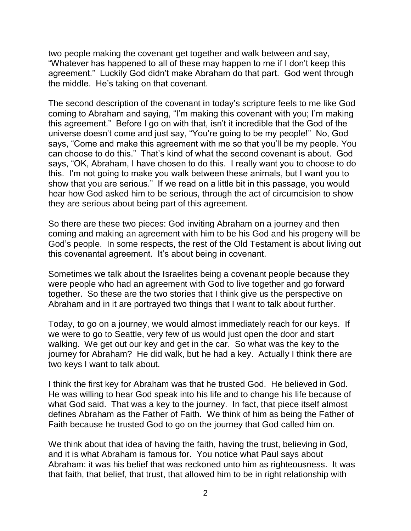two people making the covenant get together and walk between and say, "Whatever has happened to all of these may happen to me if I don't keep this agreement." Luckily God didn't make Abraham do that part. God went through the middle. He's taking on that covenant.

The second description of the covenant in today's scripture feels to me like God coming to Abraham and saying, "I'm making this covenant with you; I'm making this agreement." Before I go on with that, isn't it incredible that the God of the universe doesn't come and just say, "You're going to be my people!" No, God says, "Come and make this agreement with me so that you'll be my people. You can choose to do this." That's kind of what the second covenant is about. God says, "OK, Abraham, I have chosen to do this. I really want you to choose to do this. I'm not going to make you walk between these animals, but I want you to show that you are serious." If we read on a little bit in this passage, you would hear how God asked him to be serious, through the act of circumcision to show they are serious about being part of this agreement.

So there are these two pieces: God inviting Abraham on a journey and then coming and making an agreement with him to be his God and his progeny will be God's people. In some respects, the rest of the Old Testament is about living out this covenantal agreement. It's about being in covenant.

Sometimes we talk about the Israelites being a covenant people because they were people who had an agreement with God to live together and go forward together. So these are the two stories that I think give us the perspective on Abraham and in it are portrayed two things that I want to talk about further.

Today, to go on a journey, we would almost immediately reach for our keys. If we were to go to Seattle, very few of us would just open the door and start walking. We get out our key and get in the car. So what was the key to the journey for Abraham? He did walk, but he had a key. Actually I think there are two keys I want to talk about.

I think the first key for Abraham was that he trusted God. He believed in God. He was willing to hear God speak into his life and to change his life because of what God said. That was a key to the journey. In fact, that piece itself almost defines Abraham as the Father of Faith. We think of him as being the Father of Faith because he trusted God to go on the journey that God called him on.

We think about that idea of having the faith, having the trust, believing in God, and it is what Abraham is famous for. You notice what Paul says about Abraham: it was his belief that was reckoned unto him as righteousness. It was that faith, that belief, that trust, that allowed him to be in right relationship with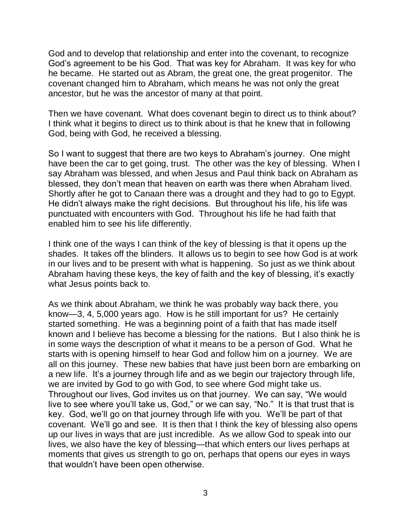God and to develop that relationship and enter into the covenant, to recognize God's agreement to be his God. That was key for Abraham. It was key for who he became. He started out as Abram, the great one, the great progenitor. The covenant changed him to Abraham, which means he was not only the great ancestor, but he was the ancestor of many at that point.

Then we have covenant. What does covenant begin to direct us to think about? I think what it begins to direct us to think about is that he knew that in following God, being with God, he received a blessing.

So I want to suggest that there are two keys to Abraham's journey. One might have been the car to get going, trust. The other was the key of blessing. When I say Abraham was blessed, and when Jesus and Paul think back on Abraham as blessed, they don't mean that heaven on earth was there when Abraham lived. Shortly after he got to Canaan there was a drought and they had to go to Egypt. He didn't always make the right decisions. But throughout his life, his life was punctuated with encounters with God. Throughout his life he had faith that enabled him to see his life differently.

I think one of the ways I can think of the key of blessing is that it opens up the shades. It takes off the blinders. It allows us to begin to see how God is at work in our lives and to be present with what is happening. So just as we think about Abraham having these keys, the key of faith and the key of blessing, it's exactly what Jesus points back to.

As we think about Abraham, we think he was probably way back there, you know—3, 4, 5,000 years ago. How is he still important for us? He certainly started something. He was a beginning point of a faith that has made itself known and I believe has become a blessing for the nations. But I also think he is in some ways the description of what it means to be a person of God. What he starts with is opening himself to hear God and follow him on a journey. We are all on this journey. These new babies that have just been born are embarking on a new life. It's a journey through life and as we begin our trajectory through life, we are invited by God to go with God, to see where God might take us. Throughout our lives, God invites us on that journey. We can say, "We would live to see where you'll take us, God," or we can say, "No." It is that trust that is key. God, we'll go on that journey through life with you. We'll be part of that covenant. We'll go and see. It is then that I think the key of blessing also opens up our lives in ways that are just incredible. As we allow God to speak into our lives, we also have the key of blessing—that which enters our lives perhaps at moments that gives us strength to go on, perhaps that opens our eyes in ways that wouldn't have been open otherwise.